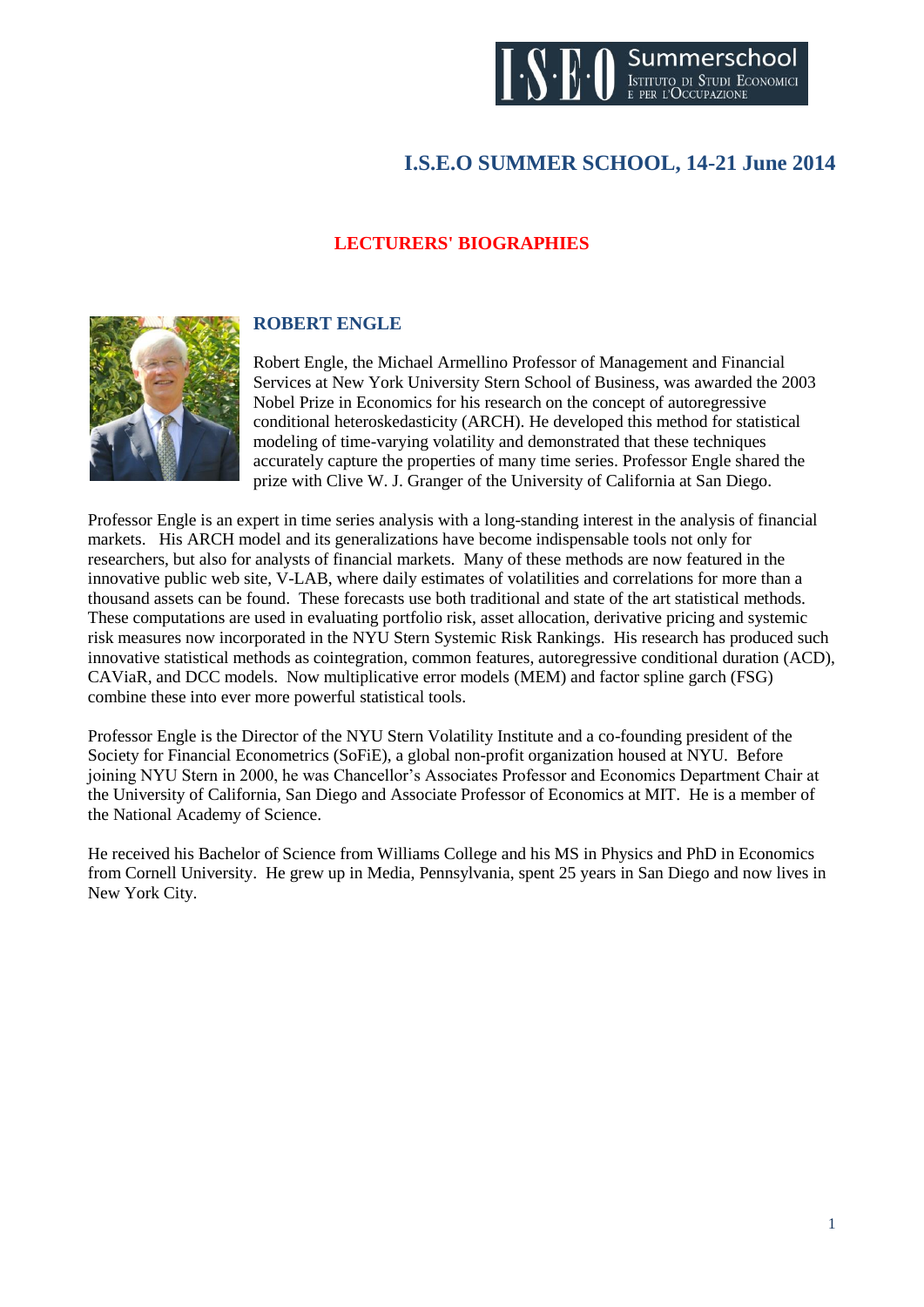

# **I.S.E.O SUMMER SCHOOL, 14-21 June 2014**

### **LECTURERS' BIOGRAPHIES**



#### **ROBERT ENGLE**

Robert Engle, the Michael Armellino Professor of Management and Financial Services at New York University Stern School of Business, was awarded the 2003 Nobel Prize in Economics for his research on the concept of autoregressive conditional heteroskedasticity (ARCH). He developed this method for statistical modeling of time-varying volatility and demonstrated that these techniques accurately capture the properties of many time series. Professor Engle shared the prize with Clive W. J. Granger of the University of California at San Diego.

Professor Engle is an expert in time series analysis with a long-standing interest in the analysis of financial markets. His ARCH model and its generalizations have become indispensable tools not only for researchers, but also for analysts of financial markets. Many of these methods are now featured in the innovative public web site, V-LAB, where daily estimates of volatilities and correlations for more than a thousand assets can be found. These forecasts use both traditional and state of the art statistical methods. These computations are used in evaluating portfolio risk, asset allocation, derivative pricing and systemic risk measures now incorporated in the NYU Stern Systemic Risk Rankings. His research has produced such innovative statistical methods as cointegration, common features, autoregressive conditional duration (ACD), CAViaR, and DCC models. Now multiplicative error models (MEM) and factor spline garch (FSG) combine these into ever more powerful statistical tools.

Professor Engle is the Director of the NYU Stern Volatility Institute and a co-founding president of the Society for Financial Econometrics (SoFiE), a global non-profit organization housed at NYU. Before joining NYU Stern in 2000, he was Chancellor's Associates Professor and Economics Department Chair at the University of California, San Diego and Associate Professor of Economics at MIT. He is a member of the National Academy of Science.

He received his Bachelor of Science from Williams College and his MS in Physics and PhD in Economics from Cornell University. He grew up in Media, Pennsylvania, spent 25 years in San Diego and now lives in New York City.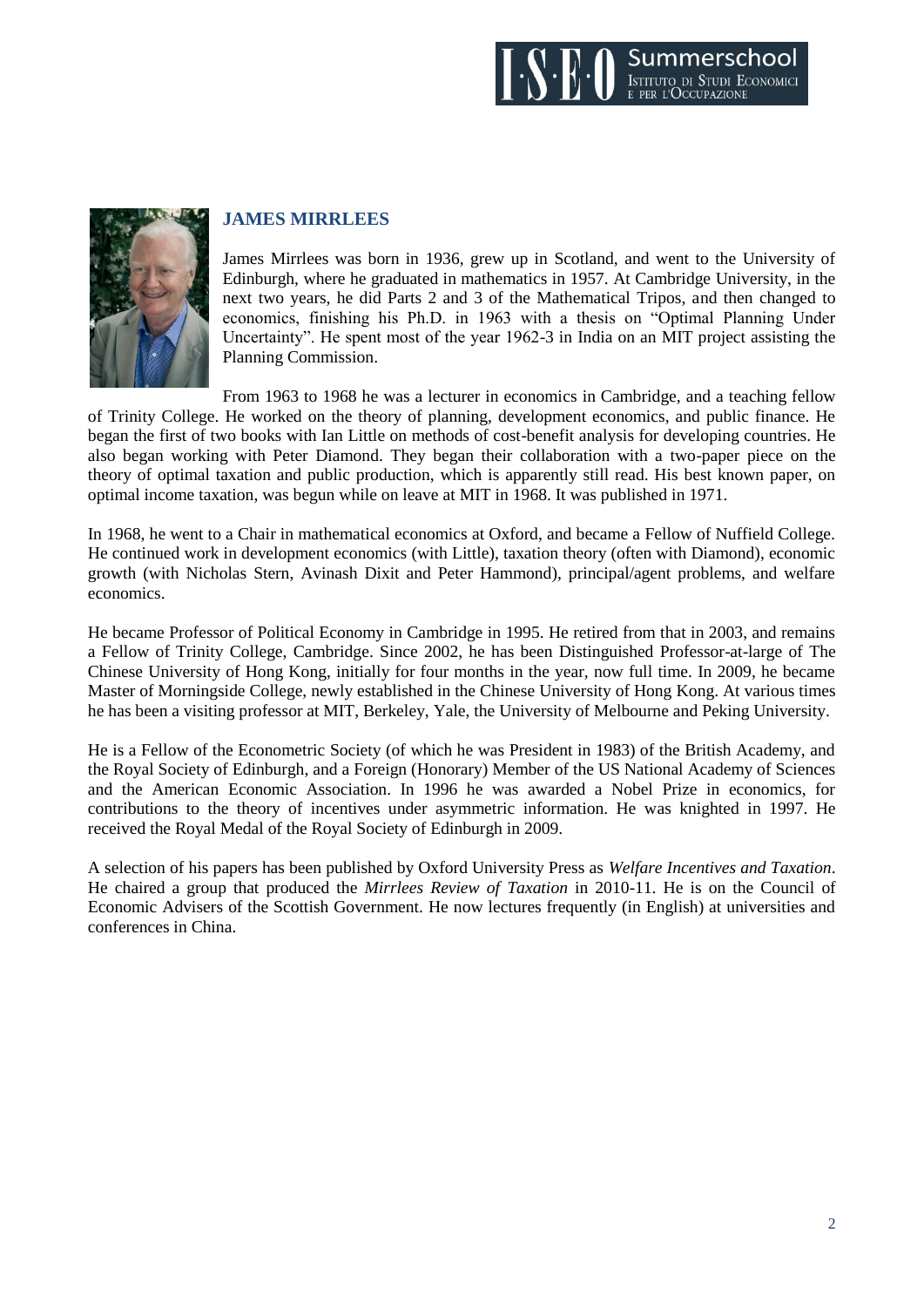



# **JAMES MIRRLEES**

James Mirrlees was born in 1936, grew up in Scotland, and went to the University of Edinburgh, where he graduated in mathematics in 1957. At Cambridge University, in the next two years, he did Parts 2 and 3 of the Mathematical Tripos, and then changed to economics, finishing his Ph.D. in 1963 with a thesis on "Optimal Planning Under Uncertainty". He spent most of the year 1962-3 in India on an MIT project assisting the Planning Commission.

From 1963 to 1968 he was a lecturer in economics in Cambridge, and a teaching fellow of Trinity College. He worked on the theory of planning, development economics, and public finance. He began the first of two books with Ian Little on methods of cost-benefit analysis for developing countries. He also began working with Peter Diamond. They began their collaboration with a two-paper piece on the theory of optimal taxation and public production, which is apparently still read. His best known paper, on optimal income taxation, was begun while on leave at MIT in 1968. It was published in 1971.

In 1968, he went to a Chair in mathematical economics at Oxford, and became a Fellow of Nuffield College. He continued work in development economics (with Little), taxation theory (often with Diamond), economic growth (with Nicholas Stern, Avinash Dixit and Peter Hammond), principal/agent problems, and welfare economics.

He became Professor of Political Economy in Cambridge in 1995. He retired from that in 2003, and remains a Fellow of Trinity College, Cambridge. Since 2002, he has been Distinguished Professor-at-large of The Chinese University of Hong Kong, initially for four months in the year, now full time. In 2009, he became Master of Morningside College, newly established in the Chinese University of Hong Kong. At various times he has been a visiting professor at MIT, Berkeley, Yale, the University of Melbourne and Peking University.

He is a Fellow of the Econometric Society (of which he was President in 1983) of the British Academy, and the Royal Society of Edinburgh, and a Foreign (Honorary) Member of the US National Academy of Sciences and the American Economic Association. In 1996 he was awarded a Nobel Prize in economics, for contributions to the theory of incentives under asymmetric information. He was knighted in 1997. He received the Royal Medal of the Royal Society of Edinburgh in 2009.

A selection of his papers has been published by Oxford University Press as *Welfare Incentives and Taxation*. He chaired a group that produced the *Mirrlees Review of Taxation* in 2010-11. He is on the Council of Economic Advisers of the Scottish Government. He now lectures frequently (in English) at universities and conferences in China.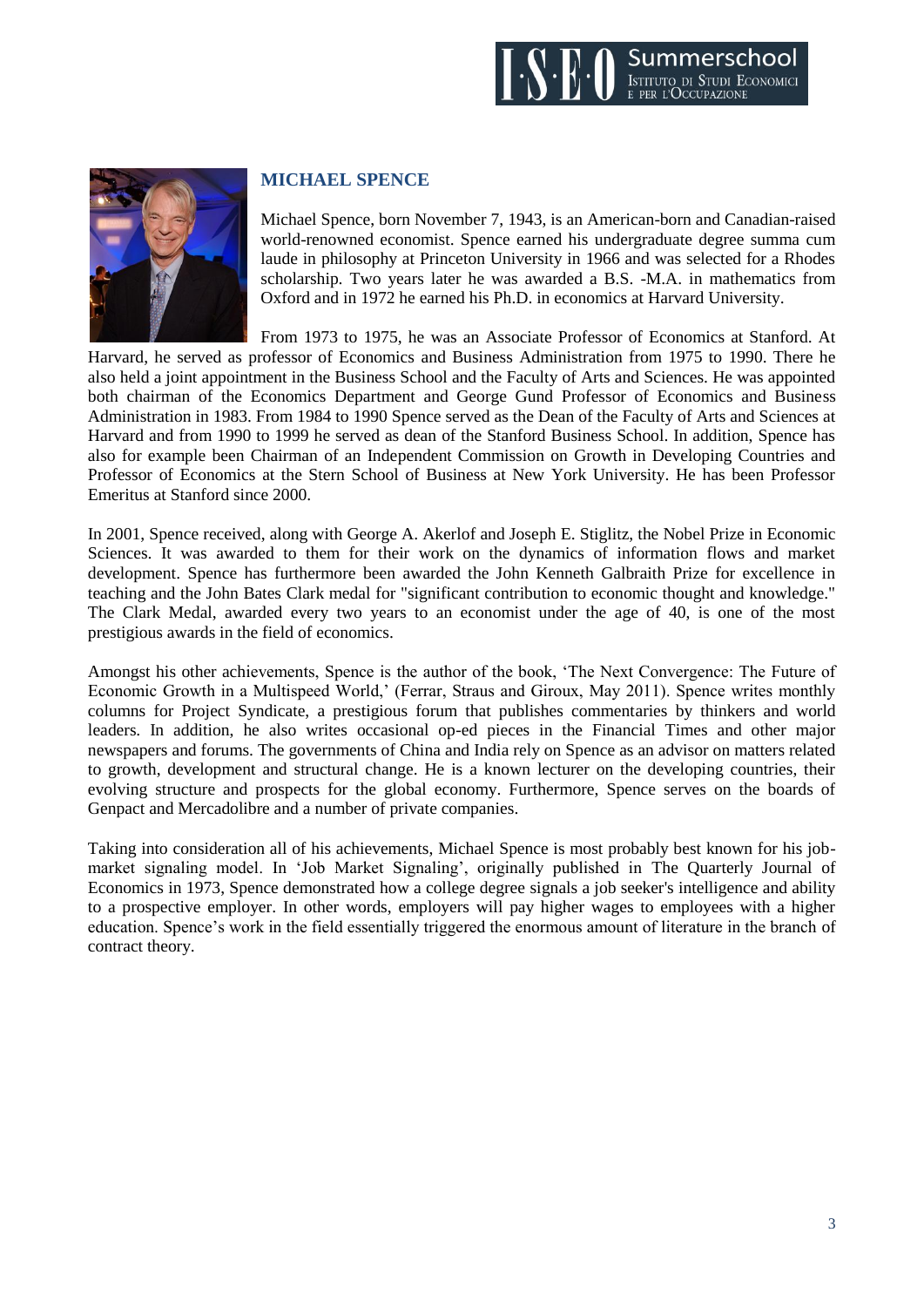



#### **MICHAEL SPENCE**

Michael Spence, born November 7, 1943, is an American-born and Canadian-raised world-renowned economist. Spence earned his undergraduate degree summa cum laude in philosophy at Princeton University in 1966 and was selected for a Rhodes scholarship. Two years later he was awarded a B.S. -M.A. in mathematics from Oxford and in 1972 he earned his Ph.D. in economics at Harvard University.

From 1973 to 1975, he was an Associate Professor of Economics at Stanford. At Harvard, he served as professor of Economics and Business Administration from 1975 to 1990. There he also held a joint appointment in the Business School and the Faculty of Arts and Sciences. He was appointed both chairman of the Economics Department and George Gund Professor of Economics and Business Administration in 1983. From 1984 to 1990 Spence served as the Dean of the Faculty of Arts and Sciences at Harvard and from 1990 to 1999 he served as dean of the Stanford Business School. In addition, Spence has also for example been Chairman of an Independent Commission on Growth in Developing Countries and Professor of Economics at the Stern School of Business at New York University. He has been Professor Emeritus at Stanford since 2000.

In 2001, Spence received, along with George A. Akerlof and Joseph E. Stiglitz, the Nobel Prize in Economic Sciences. It was awarded to them for their work on the dynamics of information flows and market development. Spence has furthermore been awarded the John Kenneth Galbraith Prize for excellence in teaching and the John Bates Clark medal for "significant contribution to economic thought and knowledge." The Clark Medal, awarded every two years to an economist under the age of 40, is one of the most prestigious awards in the field of economics.

Amongst his other achievements, Spence is the author of the book, 'The Next Convergence: The Future of Economic Growth in a Multispeed World,' (Ferrar, Straus and Giroux, May 2011). Spence writes monthly columns for Project Syndicate, a prestigious forum that publishes commentaries by thinkers and world leaders. In addition, he also writes occasional op-ed pieces in the Financial Times and other major newspapers and forums. The governments of China and India rely on Spence as an advisor on matters related to growth, development and structural change. He is a known lecturer on the developing countries, their evolving structure and prospects for the global economy. Furthermore, Spence serves on the boards of Genpact and Mercadolibre and a number of private companies.

Taking into consideration all of his achievements, Michael Spence is most probably best known for his jobmarket signaling model. In 'Job Market Signaling', originally published in The Quarterly Journal of Economics in 1973, Spence demonstrated how a college degree signals a job seeker's intelligence and ability to a prospective employer. In other words, employers will pay higher wages to employees with a higher education. Spence's work in the field essentially triggered the enormous amount of literature in the branch of contract theory.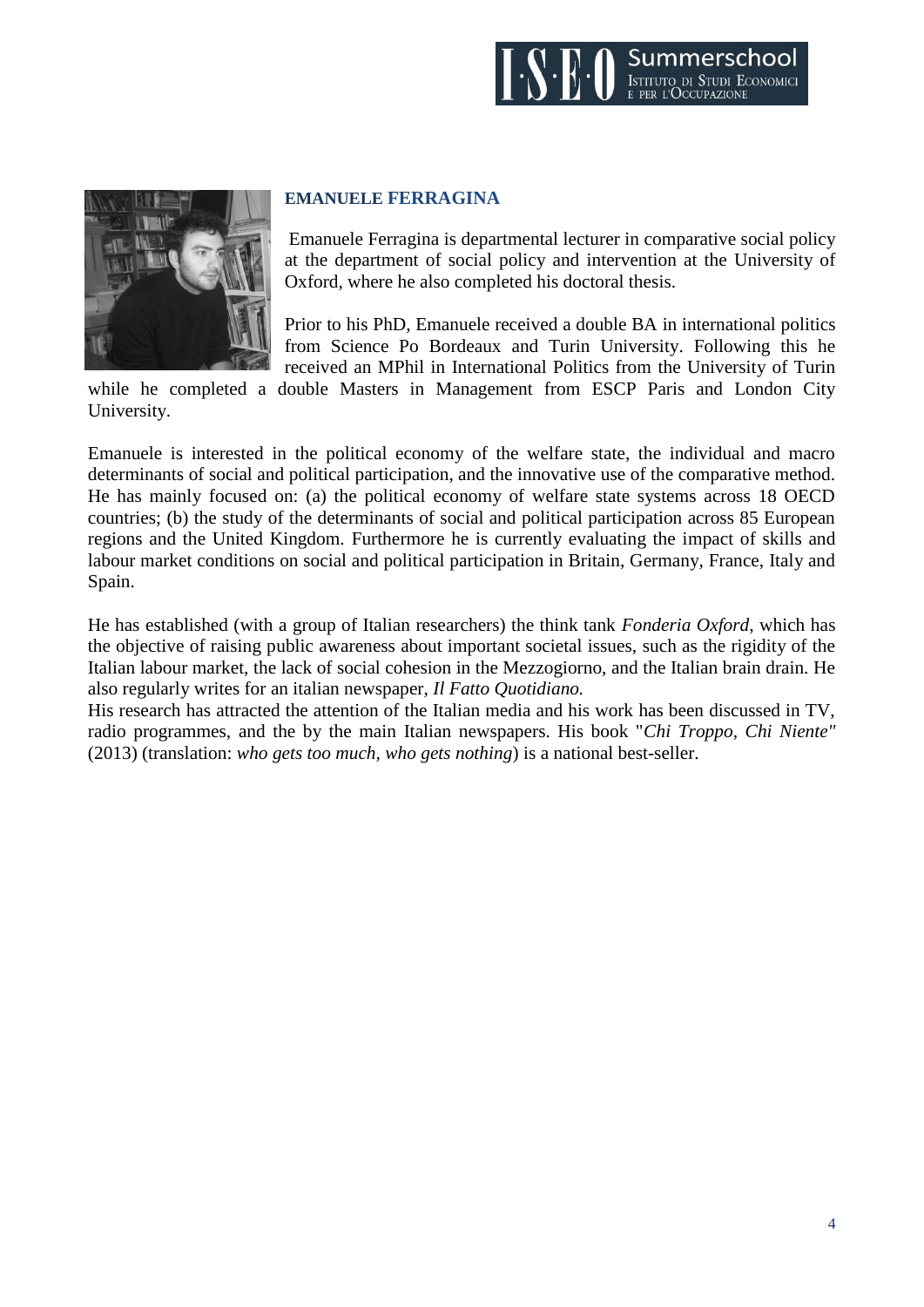



#### **EMANUELE FERRAGINA**

Emanuele Ferragina is departmental lecturer in comparative social policy at the department of social policy and intervention at the University of Oxford, where he also completed his doctoral thesis.

Prior to his PhD, Emanuele received a double BA in international politics from Science Po Bordeaux and Turin University. Following this he received an MPhil in International Politics from the University of Turin

while he completed a double Masters in Management from ESCP Paris and London City University.

Emanuele is interested in the political economy of the welfare state, the individual and macro determinants of social and political participation, and the innovative use of the comparative method. He has mainly focused on: (a) the political economy of welfare state systems across 18 OECD countries; (b) the study of the determinants of social and political participation across 85 European regions and the United Kingdom. Furthermore he is currently evaluating the impact of skills and labour market conditions on social and political participation in Britain, Germany, France, Italy and Spain.

He has established (with a group of Italian researchers) the think tank *Fonderia Oxford*, which has the objective of raising public awareness about important societal issues, such as the rigidity of the Italian labour market, the lack of social cohesion in the Mezzogiorno, and the Italian brain drain. He also regularly writes for an italian newspaper, *Il Fatto Quotidiano.*

His research has attracted the attention of the Italian media and his work has been discussed in TV, radio programmes, and the by the main Italian newspapers. His book "*Chi Troppo, Chi Niente"* (2013) (translation: *who gets too much, who gets nothing*) is a national best-seller.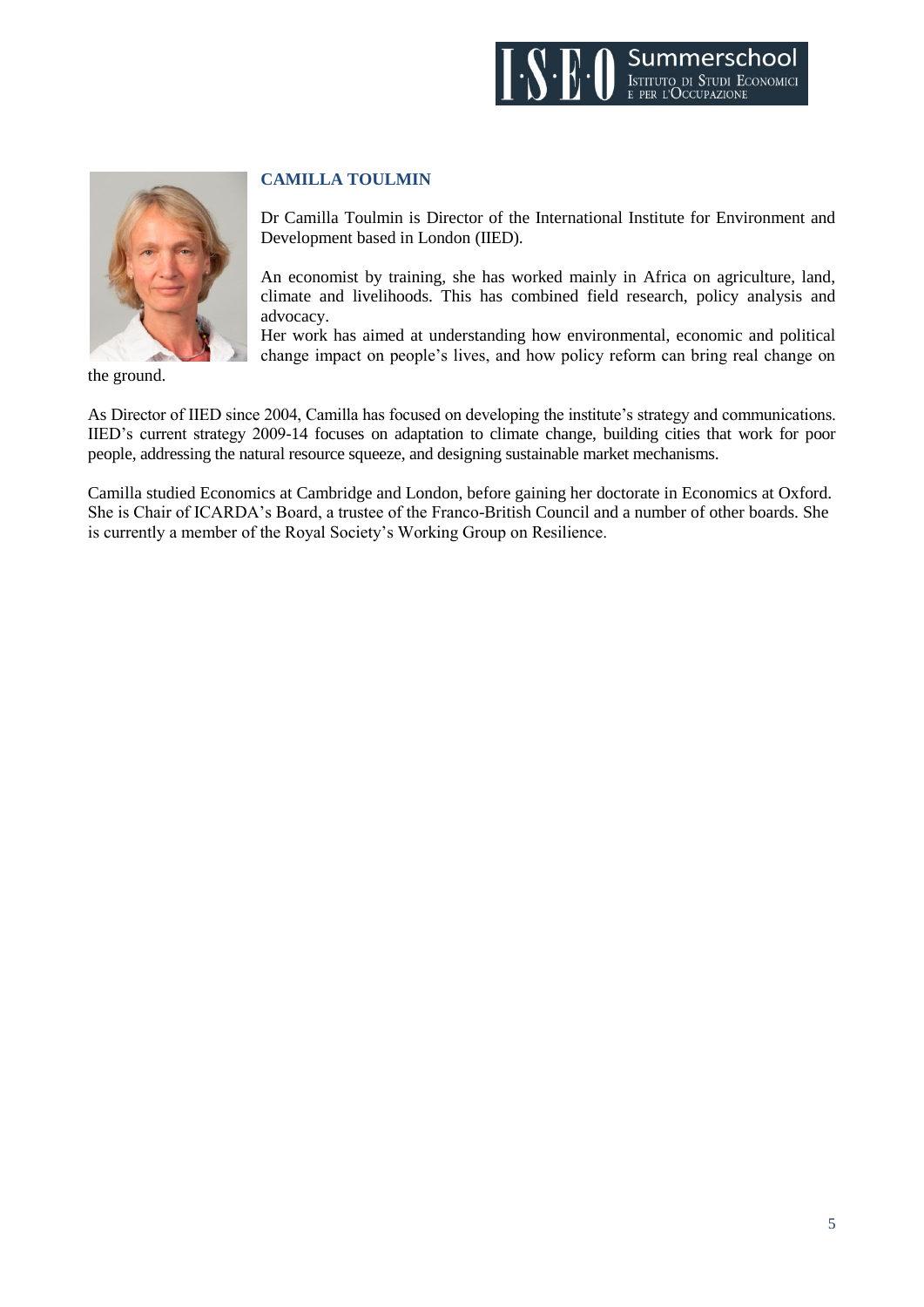



the ground.

#### **CAMILLA TOULMIN**

Dr Camilla Toulmin is Director of the International Institute for Environment and Development based in London (IIED).

An economist by training, she has worked mainly in Africa on agriculture, land, climate and livelihoods. This has combined field research, policy analysis and advocacy.

Her work has aimed at understanding how environmental, economic and political change impact on people's lives, and how policy reform can bring real change on

As Director of IIED since 2004, Camilla has focused on developing the institute's strategy and communications. IIED's current strategy 2009-14 focuses on adaptation to climate change, building cities that work for poor people, addressing the natural resource squeeze, and designing sustainable market mechanisms.

Camilla studied Economics at Cambridge and London, before gaining her doctorate in Economics at Oxford. She is Chair of ICARDA's Board, a trustee of the Franco-British Council and a number of other boards. She is currently a member of the Royal Society's Working Group on Resilience.